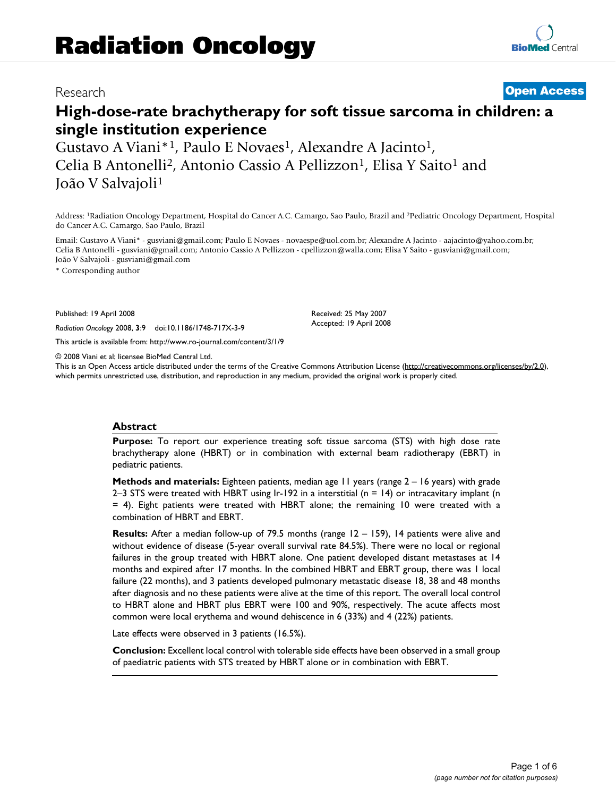## Research **[Open Access](http://www.biomedcentral.com/info/about/charter/)**

# **High-dose-rate brachytherapy for soft tissue sarcoma in children: a single institution experience**

Gustavo A Viani $*$ <sup>1</sup>, Paulo E Novaes<sup>1</sup>, Alexandre A Jacinto<sup>1</sup>, Celia B Antonelli<sup>2</sup>, Antonio Cassio A Pellizzon<sup>1</sup>, Elisa Y Saito<sup>1</sup> and João V Salvajoli<sup>1</sup>

Address: 1Radiation Oncology Department, Hospital do Cancer A.C. Camargo, Sao Paulo, Brazil and 2Pediatric Oncology Department, Hospital do Cancer A.C. Camargo, Sao Paulo, Brazil

Email: Gustavo A Viani\* - gusviani@gmail.com; Paulo E Novaes - novaespe@uol.com.br; Alexandre A Jacinto - aajacinto@yahoo.com.br; Celia B Antonelli - gusviani@gmail.com; Antonio Cassio A Pellizzon - cpellizzon@walla.com; Elisa Y Saito - gusviani@gmail.com; João V Salvajoli - gusviani@gmail.com

\* Corresponding author

Published: 19 April 2008

*Radiation Oncology* 2008, **3**:9 doi:10.1186/1748-717X-3-9

[This article is available from: http://www.ro-journal.com/content/3/1/9](http://www.ro-journal.com/content/3/1/9)

© 2008 Viani et al; licensee BioMed Central Ltd.

This is an Open Access article distributed under the terms of the Creative Commons Attribution License [\(http://creativecommons.org/licenses/by/2.0\)](http://creativecommons.org/licenses/by/2.0), which permits unrestricted use, distribution, and reproduction in any medium, provided the original work is properly cited.

Received: 25 May 2007 Accepted: 19 April 2008

#### **Abstract**

**Purpose:** To report our experience treating soft tissue sarcoma (STS) with high dose rate brachytherapy alone (HBRT) or in combination with external beam radiotherapy (EBRT) in pediatric patients.

**Methods and materials:** Eighteen patients, median age 11 years (range 2 – 16 years) with grade 2–3 STS were treated with HBRT using  $Ir-192$  in a interstitial (n = 14) or intracavitary implant (n = 4). Eight patients were treated with HBRT alone; the remaining 10 were treated with a combination of HBRT and EBRT.

**Results:** After a median follow-up of 79.5 months (range 12 – 159), 14 patients were alive and without evidence of disease (5-year overall survival rate 84.5%). There were no local or regional failures in the group treated with HBRT alone. One patient developed distant metastases at 14 months and expired after 17 months. In the combined HBRT and EBRT group, there was 1 local failure (22 months), and 3 patients developed pulmonary metastatic disease 18, 38 and 48 months after diagnosis and no these patients were alive at the time of this report. The overall local control to HBRT alone and HBRT plus EBRT were 100 and 90%, respectively. The acute affects most common were local erythema and wound dehiscence in 6 (33%) and 4 (22%) patients.

Late effects were observed in 3 patients (16.5%).

**Conclusion:** Excellent local control with tolerable side effects have been observed in a small group of paediatric patients with STS treated by HBRT alone or in combination with EBRT.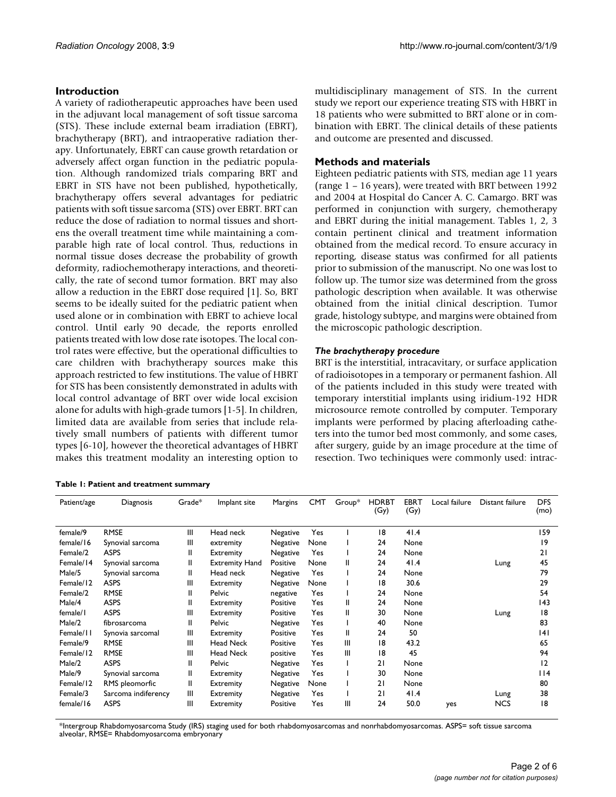#### **Introduction**

A variety of radiotherapeutic approaches have been used in the adjuvant local management of soft tissue sarcoma (STS). These include external beam irradiation (EBRT), brachytherapy (BRT), and intraoperative radiation therapy. Unfortunately, EBRT can cause growth retardation or adversely affect organ function in the pediatric population. Although randomized trials comparing BRT and EBRT in STS have not been published, hypothetically, brachytherapy offers several advantages for pediatric patients with soft tissue sarcoma (STS) over EBRT. BRT can reduce the dose of radiation to normal tissues and shortens the overall treatment time while maintaining a comparable high rate of local control. Thus, reductions in normal tissue doses decrease the probability of growth deformity, radiochemotherapy interactions, and theoretically, the rate of second tumor formation. BRT may also allow a reduction in the EBRT dose required [1]. So, BRT seems to be ideally suited for the pediatric patient when used alone or in combination with EBRT to achieve local control. Until early 90 decade, the reports enrolled patients treated with low dose rate isotopes. The local control rates were effective, but the operational difficulties to care children with brachytherapy sources make this approach restricted to few institutions. The value of HBRT for STS has been consistently demonstrated in adults with local control advantage of BRT over wide local excision alone for adults with high-grade tumors [1-5]. In children, limited data are available from series that include relatively small numbers of patients with different tumor types [6-10], however the theoretical advantages of HBRT makes this treatment modality an interesting option to

multidisciplinary management of STS. In the current study we report our experience treating STS with HBRT in 18 patients who were submitted to BRT alone or in combination with EBRT. The clinical details of these patients and outcome are presented and discussed.

### **Methods and materials**

Eighteen pediatric patients with STS, median age 11 years (range 1 – 16 years), were treated with BRT between 1992 and 2004 at Hospital do Cancer A. C. Camargo. BRT was performed in conjunction with surgery, chemotherapy and EBRT during the initial management. Tables 1, 2, 3 contain pertinent clinical and treatment information obtained from the medical record. To ensure accuracy in reporting, disease status was confirmed for all patients prior to submission of the manuscript. No one was lost to follow up. The tumor size was determined from the gross pathologic description when available. It was otherwise obtained from the initial clinical description. Tumor grade, histology subtype, and margins were obtained from the microscopic pathologic description.

#### *The brachytherapy procedure*

BRT is the interstitial, intracavitary, or surface application of radioisotopes in a temporary or permanent fashion. All of the patients included in this study were treated with temporary interstitial implants using iridium-192 HDR microsource remote controlled by computer. Temporary implants were performed by placing afterloading catheters into the tumor bed most commonly, and some cases, after surgery, guide by an image procedure at the time of resection. Two techiniques were commonly used: intrac-

| Patient/age | Diagnosis           | Grade* | Implant site     | Margins  | CMT  | $Group^*$ | <b>HDRBT</b><br>(Gy) | <b>EBRT</b><br>(Gy) | Local failure | Distant failure | <b>DFS</b><br>(mo) |
|-------------|---------------------|--------|------------------|----------|------|-----------|----------------------|---------------------|---------------|-----------------|--------------------|
| female/9    | <b>RMSE</b>         | Ш      | Head neck        | Negative | Yes  |           | 18                   | 41.4                |               |                 | 159                |
| female/16   | Synovial sarcoma    | Ш      | extremity        | Negative | None |           | 24                   | None                |               |                 | 9                  |
| Female/2    | <b>ASPS</b>         | Ш      | <b>Extremity</b> | Negative | Yes  |           | 24                   | None                |               |                 | 21                 |
| Female/14   | Synovial sarcoma    | Ш      | Extremity Hand   | Positive | None | Ш         | 24                   | 41.4                |               | Lung            | 45                 |
| Male/5      | Synovial sarcoma    | Ш      | Head neck        | Negative | Yes  |           | 24                   | None                |               |                 | 79                 |
| Female/12   | <b>ASPS</b>         | Ш      | <b>Extremity</b> | Negative | None |           | 18                   | 30.6                |               |                 | 29                 |
| Female/2    | <b>RMSE</b>         | Ш      | Pelvic           | negative | Yes  |           | 24                   | None                |               |                 | 54                 |
| Male/4      | <b>ASPS</b>         | Ш      | <b>Extremity</b> | Positive | Yes  | Ш         | 24                   | None                |               |                 | 143                |
| female/I    | <b>ASPS</b>         | Ш      | <b>Extremity</b> | Positive | Yes  | Ш         | 30                   | None                |               | Lung            | 18                 |
| Male/2      | fibrosarcoma        | Ш      | Pelvic           | Negative | Yes  |           | 40                   | None                |               |                 | 83                 |
| Female/11   | Synovia sarcomal    | Ш      | <b>Extremity</b> | Positive | Yes  | Ш         | 24                   | 50                  |               |                 | 4                  |
| Female/9    | <b>RMSE</b>         | Ш      | <b>Head Neck</b> | Positive | Yes  | Ш         | 18                   | 43.2                |               |                 | 65                 |
| Female/12   | <b>RMSE</b>         | Ш      | <b>Head Neck</b> | positive | Yes  | Ш         | 18                   | 45                  |               |                 | 94                 |
| Male/2      | <b>ASPS</b>         | Ш      | Pelvic           | Negative | Yes  |           | 21                   | None                |               |                 | 12                 |
| Male/9      | Synovial sarcoma    | Ш      | <b>Extremity</b> | Negative | Yes  |           | 30                   | None                |               |                 | 114                |
| Female/12   | RMS pleomorfic      | Ш      | <b>Extremity</b> | Negative | None |           | 21                   | None                |               |                 | 80                 |
| Female/3    | Sarcoma indiferency | Ш      | <b>Extremity</b> | Negative | Yes  |           | 21                   | 41.4                |               | Lung            | 38                 |
| female/16   | <b>ASPS</b>         | Ш      | <b>Extremity</b> | Positive | Yes  | Ш         | 24                   | 50.0                | yes           | <b>NCS</b>      | 18                 |

\*Intergroup Rhabdomyosarcoma Study (IRS) staging used for both rhabdomyosarcomas and nonrhabdomyosarcomas. ASPS= soft tissue sarcoma alveolar, RMSE= Rhabdomyosarcoma embryonary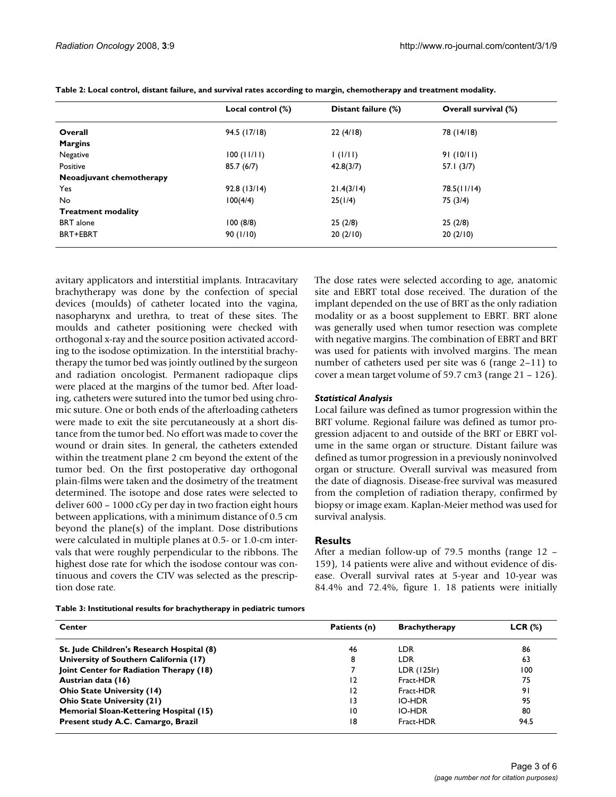|                           | Local control (%) | Distant failure (%) | Overall survival (%) |
|---------------------------|-------------------|---------------------|----------------------|
| Overall                   | 94.5 (17/18)      | 22(4/18)            | 78 (14/18)           |
| <b>Margins</b>            |                   |                     |                      |
| Negative                  | 100 (11/11)       | 1(1/11)             | 91(10/11)            |
| Positive                  | 85.7(6/7)         | 42.8(3/7)           | 57.1(3/7)            |
| Neoadjuvant chemotherapy  |                   |                     |                      |
| Yes                       | 92.8(13/14)       | 21.4(3/14)          | 78.5(11/14)          |
| No.                       | 100(4/4)          | 25(1/4)             | 75 (3/4)             |
| <b>Treatment modality</b> |                   |                     |                      |
| <b>BRT</b> alone          | 100(8/8)          | 25(2/8)             | 25(2/8)              |
| <b>BRT+EBRT</b>           | 90(1/10)          | 20(2/10)            | 20(2/10)             |

**Table 2: Local control, distant failure, and survival rates according to margin, chemotherapy and treatment modality.**

avitary applicators and interstitial implants. Intracavitary brachytherapy was done by the confection of special devices (moulds) of catheter located into the vagina, nasopharynx and urethra, to treat of these sites. The moulds and catheter positioning were checked with orthogonal x-ray and the source position activated according to the isodose optimization. In the interstitial brachytherapy the tumor bed was jointly outlined by the surgeon and radiation oncologist. Permanent radiopaque clips were placed at the margins of the tumor bed. After loading, catheters were sutured into the tumor bed using chromic suture. One or both ends of the afterloading catheters were made to exit the site percutaneously at a short distance from the tumor bed. No effort was made to cover the wound or drain sites. In general, the catheters extended within the treatment plane 2 cm beyond the extent of the tumor bed. On the first postoperative day orthogonal plain-films were taken and the dosimetry of the treatment determined. The isotope and dose rates were selected to deliver 600 – 1000 cGy per day in two fraction eight hours between applications, with a minimum distance of 0.5 cm beyond the plane(s) of the implant. Dose distributions were calculated in multiple planes at 0.5- or 1.0-cm intervals that were roughly perpendicular to the ribbons. The highest dose rate for which the isodose contour was continuous and covers the CTV was selected as the prescription dose rate.

The dose rates were selected according to age, anatomic site and EBRT total dose received. The duration of the implant depended on the use of BRT as the only radiation modality or as a boost supplement to EBRT. BRT alone was generally used when tumor resection was complete with negative margins. The combination of EBRT and BRT was used for patients with involved margins. The mean number of catheters used per site was 6 (range 2–11) to cover a mean target volume of 59.7 cm3 (range 21 – 126).

#### *Statistical Analysis*

Local failure was defined as tumor progression within the BRT volume. Regional failure was defined as tumor progression adjacent to and outside of the BRT or EBRT volume in the same organ or structure. Distant failure was defined as tumor progression in a previously noninvolved organ or structure. Overall survival was measured from the date of diagnosis. Disease-free survival was measured from the completion of radiation therapy, confirmed by biopsy or image exam. Kaplan-Meier method was used for survival analysis.

#### **Results**

After a median follow-up of 79.5 months (range 12 – 159), 14 patients were alive and without evidence of disease. Overall survival rates at 5-year and 10-year was 84.4% and 72.4%, figure 1. 18 patients were initially

**Table 3: Institutional results for brachytherapy in pediatric tumors**

| Center                                        | Patients (n)   | <b>Brachytherapy</b> | LCR $(%)$ |  |
|-----------------------------------------------|----------------|----------------------|-----------|--|
| St. Jude Children's Research Hospital (8)     | 46             | <b>LDR</b>           | 86        |  |
| University of Southern California (17)        | 8              | <b>LDR</b>           | 63        |  |
| Joint Center for Radiation Therapy (18)       |                | LDR (125lr)          | 100       |  |
| Austrian data (16)                            | 12             | Fract-HDR            | 75        |  |
| <b>Ohio State University (14)</b>             | 12             | Fract-HDR            | 91        |  |
| <b>Ohio State University (21)</b>             | $\overline{1}$ | IO-HDR               | 95        |  |
| <b>Memorial Sloan-Kettering Hospital (15)</b> | 10             | IO-HDR               | 80        |  |
| Present study A.C. Camargo, Brazil            | 18             | Fract-HDR            | 94.5      |  |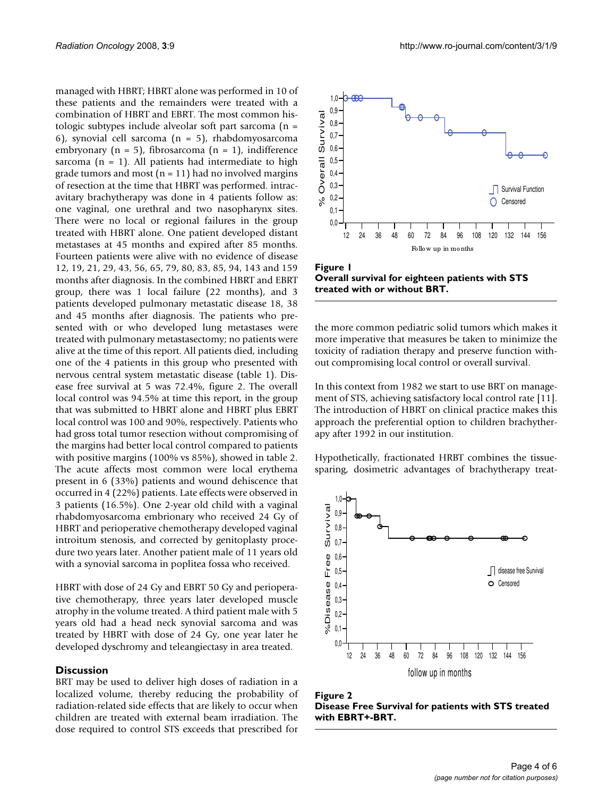managed with HBRT; HBRT alone was performed in 10 of these patients and the remainders were treated with a combination of HBRT and EBRT. The most common histologic subtypes include alveolar soft part sarcoma (n = 6), synovial cell sarcoma (n = 5), rhabdomyosarcoma embryonary ( $n = 5$ ), fibrosarcoma ( $n = 1$ ), indifference sarcoma ( $n = 1$ ). All patients had intermediate to high grade tumors and most ( $n = 11$ ) had no involved margins of resection at the time that HBRT was performed. intracavitary brachytherapy was done in 4 patients follow as: one vaginal, one urethral and two nasopharynx sites. There were no local or regional failures in the group treated with HBRT alone. One patient developed distant metastases at 45 months and expired after 85 months. Fourteen patients were alive with no evidence of disease 12, 19, 21, 29, 43, 56, 65, 79, 80, 83, 85, 94, 143 and 159 months after diagnosis. In the combined HBRT and EBRT group, there was 1 local failure (22 months), and 3 patients developed pulmonary metastatic disease 18, 38 and 45 months after diagnosis. The patients who presented with or who developed lung metastases were treated with pulmonary metastasectomy; no patients were alive at the time of this report. All patients died, including one of the 4 patients in this group who presented with nervous central system metastatic disease (table 1). Disease free survival at 5 was 72.4%, figure 2. The overall local control was 94.5% at time this report, in the group that was submitted to HBRT alone and HBRT plus EBRT local control was 100 and 90%, respectively. Patients who had gross total tumor resection without compromising of the margins had better local control compared to patients with positive margins (100% vs 85%), showed in table 2. The acute affects most common were local erythema present in 6 (33%) patients and wound dehiscence that occurred in 4 (22%) patients. Late effects were observed in 3 patients (16.5%). One 2-year old child with a vaginal rhabdomyosarcoma embrionary who received 24 Gy of HBRT and perioperative chemotherapy developed vaginal introitum stenosis, and corrected by genitoplasty procedure two years later. Another patient male of 11 years old with a synovial sarcoma in poplitea fossa who received.

HBRT with dose of 24 Gy and EBRT 50 Gy and perioperative chemotherapy, three years later developed muscle atrophy in the volume treated. A third patient male with 5 years old had a head neck synovial sarcoma and was treated by HBRT with dose of 24 Gy, one year later he developed dyschromy and teleangiectasy in area treated.

#### **Discussion**

BRT may be used to deliver high doses of radiation in a localized volume, thereby reducing the probability of radiation-related side effects that are likely to occur when children are treated with external beam irradiation. The dose required to control STS exceeds that prescribed for



Figure 1 **Overall survival for eighteen patients with STS treated with or without BRT.**

the more common pediatric solid tumors which makes it more imperative that measures be taken to minimize the toxicity of radiation therapy and preserve function without compromising local control or overall survival.

In this context from 1982 we start to use BRT on management of STS, achieving satisfactory local control rate [11]. The introduction of HBRT on clinical practice makes this approach the preferential option to children brachytherapy after 1992 in our institution.

Hypothetically, fractionated HRBT combines the tissuesparing, dosimetric advantages of brachytherapy treat-



Figure 2 **Disease Free Survival for patients with STS treated with EBRT+-BRT.**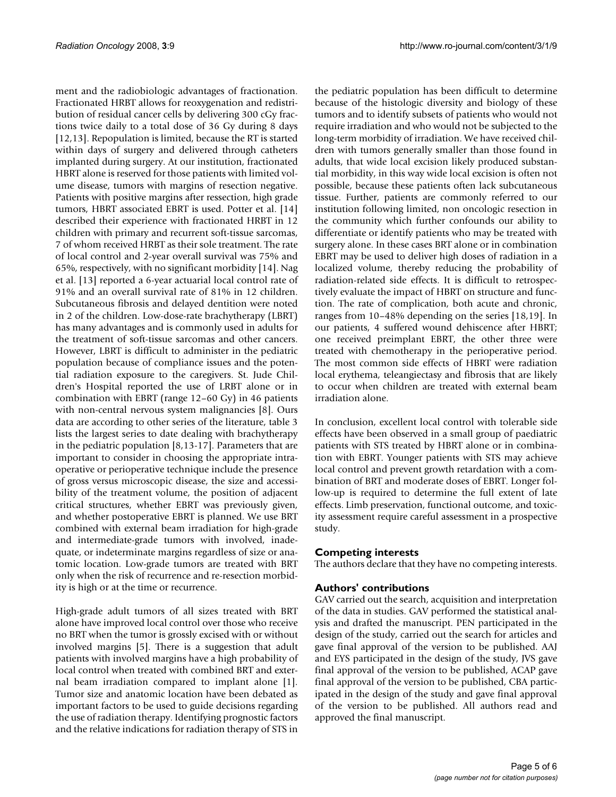ment and the radiobiologic advantages of fractionation. Fractionated HRBT allows for reoxygenation and redistribution of residual cancer cells by delivering 300 cGy fractions twice daily to a total dose of 36 Gy during 8 days [12,13]. Repopulation is limited, because the RT is started within days of surgery and delivered through catheters implanted during surgery. At our institution, fractionated HBRT alone is reserved for those patients with limited volume disease, tumors with margins of resection negative. Patients with positive margins after ressection, high grade tumors, HBRT associated EBRT is used. Potter et al. [14] described their experience with fractionated HRBT in 12 children with primary and recurrent soft-tissue sarcomas, 7 of whom received HRBT as their sole treatment. The rate of local control and 2-year overall survival was 75% and 65%, respectively, with no significant morbidity [14]. Nag et al. [13] reported a 6-year actuarial local control rate of 91% and an overall survival rate of 81% in 12 children. Subcutaneous fibrosis and delayed dentition were noted in 2 of the children. Low-dose-rate brachytherapy (LBRT) has many advantages and is commonly used in adults for the treatment of soft-tissue sarcomas and other cancers. However, LBRT is difficult to administer in the pediatric population because of compliance issues and the potential radiation exposure to the caregivers. St. Jude Children's Hospital reported the use of LRBT alone or in combination with EBRT (range 12–60 Gy) in 46 patients with non-central nervous system malignancies [8]. Ours data are according to other series of the literature, table 3 lists the largest series to date dealing with brachytherapy in the pediatric population [8,13-17]. Parameters that are important to consider in choosing the appropriate intraoperative or perioperative technique include the presence of gross versus microscopic disease, the size and accessibility of the treatment volume, the position of adjacent critical structures, whether EBRT was previously given, and whether postoperative EBRT is planned. We use BRT combined with external beam irradiation for high-grade and intermediate-grade tumors with involved, inadequate, or indeterminate margins regardless of size or anatomic location. Low-grade tumors are treated with BRT only when the risk of recurrence and re-resection morbidity is high or at the time or recurrence.

High-grade adult tumors of all sizes treated with BRT alone have improved local control over those who receive no BRT when the tumor is grossly excised with or without involved margins [5]. There is a suggestion that adult patients with involved margins have a high probability of local control when treated with combined BRT and external beam irradiation compared to implant alone [1]. Tumor size and anatomic location have been debated as important factors to be used to guide decisions regarding the use of radiation therapy. Identifying prognostic factors and the relative indications for radiation therapy of STS in

the pediatric population has been difficult to determine because of the histologic diversity and biology of these tumors and to identify subsets of patients who would not require irradiation and who would not be subjected to the long-term morbidity of irradiation. We have received children with tumors generally smaller than those found in adults, that wide local excision likely produced substantial morbidity, in this way wide local excision is often not possible, because these patients often lack subcutaneous tissue. Further, patients are commonly referred to our institution following limited, non oncologic resection in the community which further confounds our ability to differentiate or identify patients who may be treated with surgery alone. In these cases BRT alone or in combination EBRT may be used to deliver high doses of radiation in a localized volume, thereby reducing the probability of radiation-related side effects. It is difficult to retrospectively evaluate the impact of HBRT on structure and function. The rate of complication, both acute and chronic, ranges from 10–48% depending on the series [18,19]. In our patients, 4 suffered wound dehiscence after HBRT; one received preimplant EBRT, the other three were treated with chemotherapy in the perioperative period. The most common side effects of HBRT were radiation local erythema, teleangiectasy and fibrosis that are likely to occur when children are treated with external beam irradiation alone.

In conclusion, excellent local control with tolerable side effects have been observed in a small group of paediatric patients with STS treated by HBRT alone or in combination with EBRT. Younger patients with STS may achieve local control and prevent growth retardation with a combination of BRT and moderate doses of EBRT. Longer follow-up is required to determine the full extent of late effects. Limb preservation, functional outcome, and toxicity assessment require careful assessment in a prospective study.

#### **Competing interests**

The authors declare that they have no competing interests.

#### **Authors' contributions**

GAV carried out the search, acquisition and interpretation of the data in studies. GAV performed the statistical analysis and drafted the manuscript. PEN participated in the design of the study, carried out the search for articles and gave final approval of the version to be published. AAJ and EYS participated in the design of the study, JVS gave final approval of the version to be published, ACAP gave final approval of the version to be published, CBA participated in the design of the study and gave final approval of the version to be published. All authors read and approved the final manuscript.